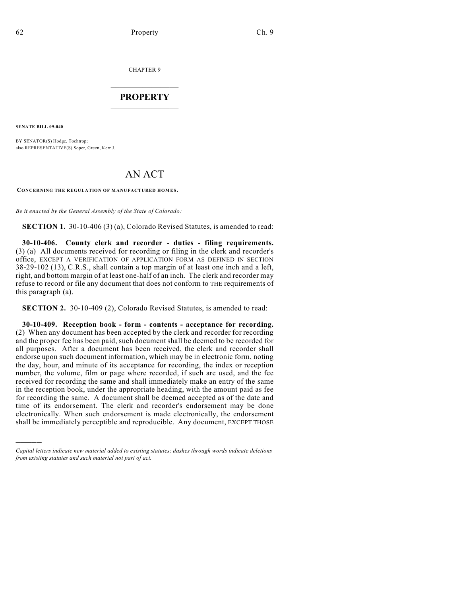CHAPTER 9

## $\mathcal{L}_\text{max}$  . The set of the set of the set of the set of the set of the set of the set of the set of the set of the set of the set of the set of the set of the set of the set of the set of the set of the set of the set **PROPERTY**  $\_$   $\_$   $\_$   $\_$   $\_$   $\_$   $\_$   $\_$   $\_$

**SENATE BILL 09-040**

)))))

BY SENATOR(S) Hodge, Tochtrop; also REPRESENTATIVE(S) Soper, Green, Kerr J.

# AN ACT

CONCERNING THE REGULATION OF MANUFACTURED HOMES.

*Be it enacted by the General Assembly of the State of Colorado:*

**SECTION 1.** 30-10-406 (3) (a), Colorado Revised Statutes, is amended to read:

**30-10-406. County clerk and recorder - duties - filing requirements.** (3) (a) All documents received for recording or filing in the clerk and recorder's office, EXCEPT A VERIFICATION OF APPLICATION FORM AS DEFINED IN SECTION 38-29-102 (13), C.R.S., shall contain a top margin of at least one inch and a left, right, and bottom margin of at least one-half of an inch. The clerk and recorder may refuse to record or file any document that does not conform to THE requirements of this paragraph (a).

**SECTION 2.** 30-10-409 (2), Colorado Revised Statutes, is amended to read:

**30-10-409. Reception book - form - contents - acceptance for recording.** (2) When any document has been accepted by the clerk and recorder for recording and the proper fee has been paid, such document shall be deemed to be recorded for all purposes. After a document has been received, the clerk and recorder shall endorse upon such document information, which may be in electronic form, noting the day, hour, and minute of its acceptance for recording, the index or reception number, the volume, film or page where recorded, if such are used, and the fee received for recording the same and shall immediately make an entry of the same in the reception book, under the appropriate heading, with the amount paid as fee for recording the same. A document shall be deemed accepted as of the date and time of its endorsement. The clerk and recorder's endorsement may be done electronically. When such endorsement is made electronically, the endorsement shall be immediately perceptible and reproducible. Any document, EXCEPT THOSE

*Capital letters indicate new material added to existing statutes; dashes through words indicate deletions from existing statutes and such material not part of act.*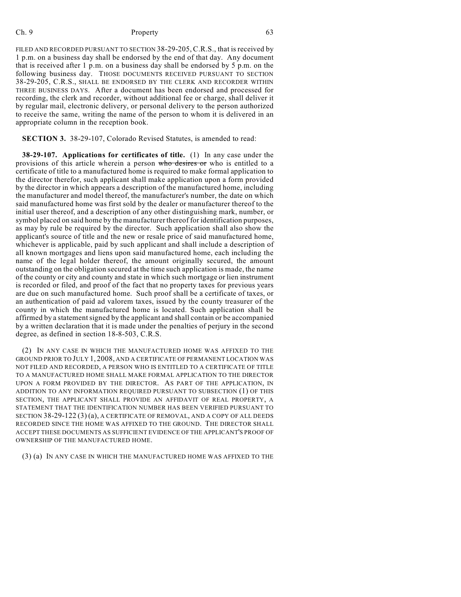FILED AND RECORDED PURSUANT TO SECTION 38-29-205, C.R.S., that is received by 1 p.m. on a business day shall be endorsed by the end of that day. Any document that is received after 1 p.m. on a business day shall be endorsed by 5 p.m. on the following business day. THOSE DOCUMENTS RECEIVED PURSUANT TO SECTION 38-29-205, C.R.S., SHALL BE ENDORSED BY THE CLERK AND RECORDER WITHIN THREE BUSINESS DAYS. After a document has been endorsed and processed for recording, the clerk and recorder, without additional fee or charge, shall deliver it by regular mail, electronic delivery, or personal delivery to the person authorized to receive the same, writing the name of the person to whom it is delivered in an appropriate column in the reception book.

**SECTION 3.** 38-29-107, Colorado Revised Statutes, is amended to read:

**38-29-107. Applications for certificates of title.** (1) In any case under the provisions of this article wherein a person who desires or who is entitled to a certificate of title to a manufactured home is required to make formal application to the director therefor, such applicant shall make application upon a form provided by the director in which appears a description of the manufactured home, including the manufacturer and model thereof, the manufacturer's number, the date on which said manufactured home was first sold by the dealer or manufacturer thereof to the initial user thereof, and a description of any other distinguishing mark, number, or symbol placed on said home by the manufacturer thereof for identification purposes, as may by rule be required by the director. Such application shall also show the applicant's source of title and the new or resale price of said manufactured home, whichever is applicable, paid by such applicant and shall include a description of all known mortgages and liens upon said manufactured home, each including the name of the legal holder thereof, the amount originally secured, the amount outstanding on the obligation secured at the time such application is made, the name of the county or city and county and state in which such mortgage or lien instrument is recorded or filed, and proof of the fact that no property taxes for previous years are due on such manufactured home. Such proof shall be a certificate of taxes, or an authentication of paid ad valorem taxes, issued by the county treasurer of the county in which the manufactured home is located. Such application shall be affirmed by a statement signed by the applicant and shall contain or be accompanied by a written declaration that it is made under the penalties of perjury in the second degree, as defined in section 18-8-503, C.R.S.

(2) IN ANY CASE IN WHICH THE MANUFACTURED HOME WAS AFFIXED TO THE GROUND PRIOR TO JULY 1, 2008, AND A CERTIFICATE OF PERMANENT LOCATION WAS NOT FILED AND RECORDED, A PERSON WHO IS ENTITLED TO A CERTIFICATE OF TITLE TO A MANUFACTURED HOME SHALL MAKE FORMAL APPLICATION TO THE DIRECTOR UPON A FORM PROVIDED BY THE DIRECTOR. AS PART OF THE APPLICATION, IN ADDITION TO ANY INFORMATION REQUIRED PURSUANT TO SUBSECTION (1) OF THIS SECTION, THE APPLICANT SHALL PROVIDE AN AFFIDAVIT OF REAL PROPERTY, A STATEMENT THAT THE IDENTIFICATION NUMBER HAS BEEN VERIFIED PURSUANT TO SECTION 38-29-122 (3) (a), A CERTIFICATE OF REMOVAL, AND A COPY OF ALL DEEDS RECORDED SINCE THE HOME WAS AFFIXED TO THE GROUND. THE DIRECTOR SHALL ACCEPT THESE DOCUMENTS AS SUFFICIENT EVIDENCE OF THE APPLICANT'S PROOF OF OWNERSHIP OF THE MANUFACTURED HOME.

(3) (a) IN ANY CASE IN WHICH THE MANUFACTURED HOME WAS AFFIXED TO THE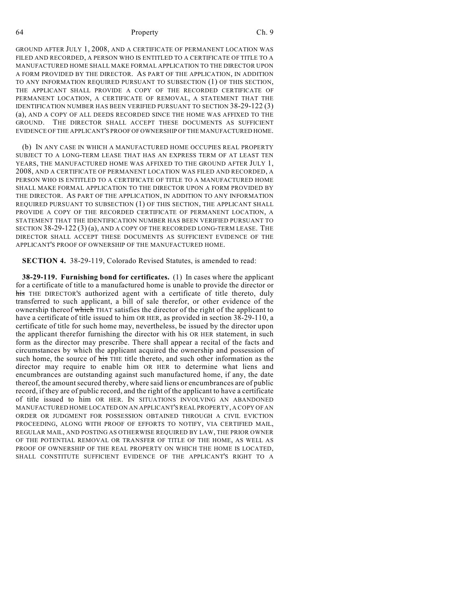#### 64 Property Ch. 9

GROUND AFTER JULY 1, 2008, AND A CERTIFICATE OF PERMANENT LOCATION WAS FILED AND RECORDED, A PERSON WHO IS ENTITLED TO A CERTIFICATE OF TITLE TO A MANUFACTURED HOME SHALL MAKE FORMAL APPLICATION TO THE DIRECTOR UPON A FORM PROVIDED BY THE DIRECTOR. AS PART OF THE APPLICATION, IN ADDITION TO ANY INFORMATION REQUIRED PURSUANT TO SUBSECTION (1) OF THIS SECTION, THE APPLICANT SHALL PROVIDE A COPY OF THE RECORDED CERTIFICATE OF PERMANENT LOCATION, A CERTIFICATE OF REMOVAL, A STATEMENT THAT THE IDENTIFICATION NUMBER HAS BEEN VERIFIED PURSUANT TO SECTION 38-29-122 (3) (a), AND A COPY OF ALL DEEDS RECORDED SINCE THE HOME WAS AFFIXED TO THE GROUND. THE DIRECTOR SHALL ACCEPT THESE DOCUMENTS AS SUFFICIENT EVIDENCE OF THE APPLICANT'S PROOF OF OWNERSHIP OF THE MANUFACTURED HOME.

(b) IN ANY CASE IN WHICH A MANUFACTURED HOME OCCUPIES REAL PROPERTY SUBJECT TO A LONG-TERM LEASE THAT HAS AN EXPRESS TERM OF AT LEAST TEN YEARS, THE MANUFACTURED HOME WAS AFFIXED TO THE GROUND AFTER JULY 1, 2008, AND A CERTIFICATE OF PERMANENT LOCATION WAS FILED AND RECORDED, A PERSON WHO IS ENTITLED TO A CERTIFICATE OF TITLE TO A MANUFACTURED HOME SHALL MAKE FORMAL APPLICATION TO THE DIRECTOR UPON A FORM PROVIDED BY THE DIRECTOR. AS PART OF THE APPLICATION, IN ADDITION TO ANY INFORMATION REQUIRED PURSUANT TO SUBSECTION (1) OF THIS SECTION, THE APPLICANT SHALL PROVIDE A COPY OF THE RECORDED CERTIFICATE OF PERMANENT LOCATION, A STATEMENT THAT THE IDENTIFICATION NUMBER HAS BEEN VERIFIED PURSUANT TO SECTION 38-29-122 (3) (a), AND A COPY OF THE RECORDED LONG-TERM LEASE. THE DIRECTOR SHALL ACCEPT THESE DOCUMENTS AS SUFFICIENT EVIDENCE OF THE APPLICANT'S PROOF OF OWNERSHIP OF THE MANUFACTURED HOME.

**SECTION 4.** 38-29-119, Colorado Revised Statutes, is amended to read:

**38-29-119. Furnishing bond for certificates.** (1) In cases where the applicant for a certificate of title to a manufactured home is unable to provide the director or his THE DIRECTOR'S authorized agent with a certificate of title thereto, duly transferred to such applicant, a bill of sale therefor, or other evidence of the ownership thereof which THAT satisfies the director of the right of the applicant to have a certificate of title issued to him OR HER, as provided in section 38-29-110, a certificate of title for such home may, nevertheless, be issued by the director upon the applicant therefor furnishing the director with his OR HER statement, in such form as the director may prescribe. There shall appear a recital of the facts and circumstances by which the applicant acquired the ownership and possession of such home, the source of his THE title thereto, and such other information as the director may require to enable him OR HER to determine what liens and encumbrances are outstanding against such manufactured home, if any, the date thereof, the amount secured thereby, where said liens or encumbrances are of public record, if they are of public record, and the right of the applicant to have a certificate of title issued to him OR HER. IN SITUATIONS INVOLVING AN ABANDONED MANUFACTURED HOME LOCATED ON AN APPLICANT'S REAL PROPERTY, A COPY OF AN ORDER OR JUDGMENT FOR POSSESSION OBTAINED THROUGH A CIVIL EVICTION PROCEEDING, ALONG WITH PROOF OF EFFORTS TO NOTIFY, VIA CERTIFIED MAIL, REGULAR MAIL, AND POSTING AS OTHERWISE REQUIRED BY LAW, THE PRIOR OWNER OF THE POTENTIAL REMOVAL OR TRANSFER OF TITLE OF THE HOME, AS WELL AS PROOF OF OWNERSHIP OF THE REAL PROPERTY ON WHICH THE HOME IS LOCATED, SHALL CONSTITUTE SUFFICIENT EVIDENCE OF THE APPLICANT'S RIGHT TO A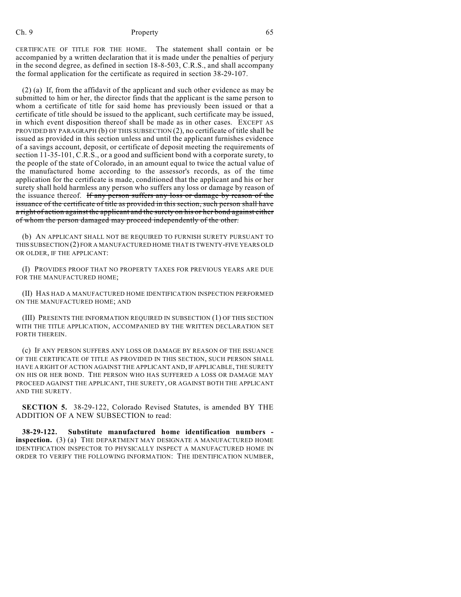CERTIFICATE OF TITLE FOR THE HOME. The statement shall contain or be accompanied by a written declaration that it is made under the penalties of perjury in the second degree, as defined in section 18-8-503, C.R.S., and shall accompany the formal application for the certificate as required in section 38-29-107.

(2) (a) If, from the affidavit of the applicant and such other evidence as may be submitted to him or her, the director finds that the applicant is the same person to whom a certificate of title for said home has previously been issued or that a certificate of title should be issued to the applicant, such certificate may be issued, in which event disposition thereof shall be made as in other cases. EXCEPT AS PROVIDED BY PARAGRAPH (b) OF THIS SUBSECTION (2), no certificate of title shall be issued as provided in this section unless and until the applicant furnishes evidence of a savings account, deposit, or certificate of deposit meeting the requirements of section 11-35-101, C.R.S., or a good and sufficient bond with a corporate surety, to the people of the state of Colorado, in an amount equal to twice the actual value of the manufactured home according to the assessor's records, as of the time application for the certificate is made, conditioned that the applicant and his or her surety shall hold harmless any person who suffers any loss or damage by reason of the issuance thereof. If any person suffers any loss or damage by reason of the issuance of the certificate of title as provided in this section, such person shall have a right of action against the applicant and the surety on his or her bond against either of whom the person damaged may proceed independently of the other.

(b) AN APPLICANT SHALL NOT BE REQUIRED TO FURNISH SURETY PURSUANT TO THIS SUBSECTION (2) FOR A MANUFACTURED HOME THAT IS TWENTY-FIVE YEARS OLD OR OLDER, IF THE APPLICANT:

(I) PROVIDES PROOF THAT NO PROPERTY TAXES FOR PREVIOUS YEARS ARE DUE FOR THE MANUFACTURED HOME;

(II) HAS HAD A MANUFACTURED HOME IDENTIFICATION INSPECTION PERFORMED ON THE MANUFACTURED HOME; AND

(III) PRESENTS THE INFORMATION REQUIRED IN SUBSECTION (1) OF THIS SECTION WITH THE TITLE APPLICATION, ACCOMPANIED BY THE WRITTEN DECLARATION SET FORTH THEREIN.

(c) IF ANY PERSON SUFFERS ANY LOSS OR DAMAGE BY REASON OF THE ISSUANCE OF THE CERTIFICATE OF TITLE AS PROVIDED IN THIS SECTION, SUCH PERSON SHALL HAVE A RIGHT OF ACTION AGAINST THE APPLICANT AND, IF APPLICABLE, THE SURETY ON HIS OR HER BOND. THE PERSON WHO HAS SUFFERED A LOSS OR DAMAGE MAY PROCEED AGAINST THE APPLICANT, THE SURETY, OR AGAINST BOTH THE APPLICANT AND THE SURETY.

**SECTION 5.** 38-29-122, Colorado Revised Statutes, is amended BY THE ADDITION OF A NEW SUBSECTION to read:

**38-29-122. Substitute manufactured home identification numbers inspection.** (3) (a) THE DEPARTMENT MAY DESIGNATE A MANUFACTURED HOME IDENTIFICATION INSPECTOR TO PHYSICALLY INSPECT A MANUFACTURED HOME IN ORDER TO VERIFY THE FOLLOWING INFORMATION: THE IDENTIFICATION NUMBER,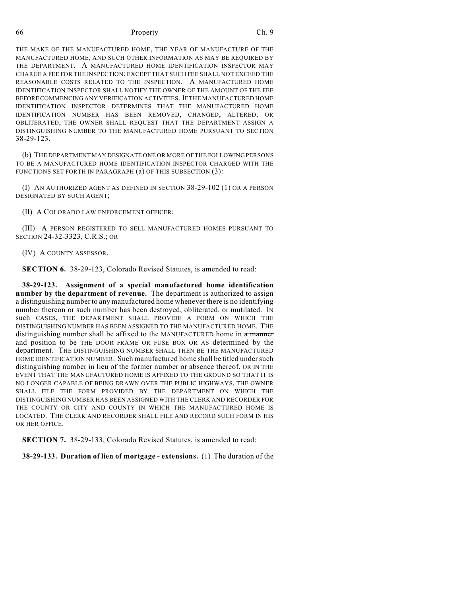66 Property Ch. 9

THE MAKE OF THE MANUFACTURED HOME, THE YEAR OF MANUFACTURE OF THE MANUFACTURED HOME, AND SUCH OTHER INFORMATION AS MAY BE REQUIRED BY THE DEPARTMENT. A MANUFACTURED HOME IDENTIFICATION INSPECTOR MAY CHARGE A FEE FOR THE INSPECTION; EXCEPT THAT SUCH FEE SHALL NOT EXCEED THE REASONABLE COSTS RELATED TO THE INSPECTION. A MANUFACTURED HOME IDENTIFICATION INSPECTOR SHALL NOTIFY THE OWNER OF THE AMOUNT OF THE FEE BEFORE COMMENCING ANY VERIFICATION ACTIVITIES. IF THE MANUFACTURED HOME IDENTIFICATION INSPECTOR DETERMINES THAT THE MANUFACTURED HOME IDENTIFICATION NUMBER HAS BEEN REMOVED, CHANGED, ALTERED, OR OBLITERATED, THE OWNER SHALL REQUEST THAT THE DEPARTMENT ASSIGN A DISTINGUISHING NUMBER TO THE MANUFACTURED HOME PURSUANT TO SECTION 38-29-123.

(b) THE DEPARTMENT MAY DESIGNATE ONE OR MORE OF THE FOLLOWING PERSONS TO BE A MANUFACTURED HOME IDENTIFICATION INSPECTOR CHARGED WITH THE FUNCTIONS SET FORTH IN PARAGRAPH (a) OF THIS SUBSECTION (3):

(I) AN AUTHORIZED AGENT AS DEFINED IN SECTION 38-29-102 (1) OR A PERSON DESIGNATED BY SUCH AGENT;

(II) A COLORADO LAW ENFORCEMENT OFFICER;

(III) A PERSON REGISTERED TO SELL MANUFACTURED HOMES PURSUANT TO SECTION 24-32-3323, C.R.S.; OR

(IV) A COUNTY ASSESSOR.

**SECTION 6.** 38-29-123, Colorado Revised Statutes, is amended to read:

**38-29-123. Assignment of a special manufactured home identification number by the department of revenue.** The department is authorized to assign a distinguishing number to any manufactured home whenever there is no identifying number thereon or such number has been destroyed, obliterated, or mutilated. IN such CASES, THE DEPARTMENT SHALL PROVIDE A FORM ON WHICH THE DISTINGUISHING NUMBER HAS BEEN ASSIGNED TO THE MANUFACTURED HOME. THE distinguishing number shall be affixed to the MANUFACTURED home in a manner and position to be THE DOOR FRAME OR FUSE BOX OR AS determined by the department. THE DISTINGUISHING NUMBER SHALL THEN BE THE MANUFACTURED HOME IDENTIFICATION NUMBER. Such manufactured home shall be titled under such distinguishing number in lieu of the former number or absence thereof, OR IN THE EVENT THAT THE MANUFACTURED HOME IS AFFIXED TO THE GROUND SO THAT IT IS NO LONGER CAPABLE OF BEING DRAWN OVER THE PUBLIC HIGHWAYS, THE OWNER SHALL FILE THE FORM PROVIDED BY THE DEPARTMENT ON WHICH THE DISTINGUISHING NUMBER HAS BEEN ASSIGNED WITH THE CLERK AND RECORDER FOR THE COUNTY OR CITY AND COUNTY IN WHICH THE MANUFACTURED HOME IS LOCATED. THE CLERK AND RECORDER SHALL FILE AND RECORD SUCH FORM IN HIS OR HER OFFICE.

**SECTION 7.** 38-29-133, Colorado Revised Statutes, is amended to read:

**38-29-133. Duration of lien of mortgage - extensions.** (1) The duration of the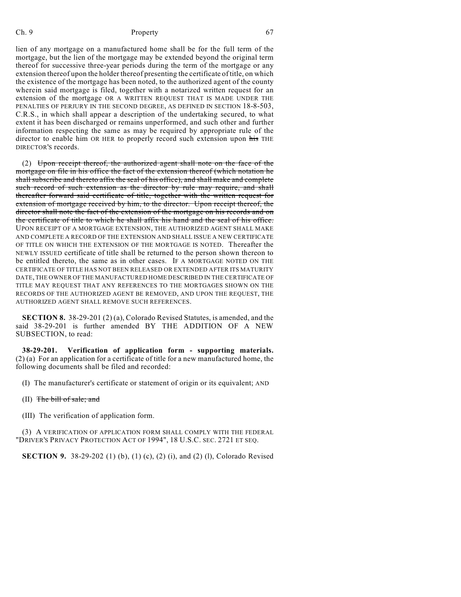lien of any mortgage on a manufactured home shall be for the full term of the mortgage, but the lien of the mortgage may be extended beyond the original term thereof for successive three-year periods during the term of the mortgage or any extension thereof upon the holder thereof presenting the certificate of title, on which the existence of the mortgage has been noted, to the authorized agent of the county wherein said mortgage is filed, together with a notarized written request for an extension of the mortgage OR A WRITTEN REQUEST THAT IS MADE UNDER THE PENALTIES OF PERJURY IN THE SECOND DEGREE, AS DEFINED IN SECTION 18-8-503, C.R.S., in which shall appear a description of the undertaking secured, to what extent it has been discharged or remains unperformed, and such other and further information respecting the same as may be required by appropriate rule of the director to enable him OR HER to properly record such extension upon his THE DIRECTOR'S records.

(2) Upon receipt thereof, the authorized agent shall note on the face of the mortgage on file in his office the fact of the extension thereof (which notation he shall subscribe and thereto affix the seal of his office), and shall make and complete such record of such extension as the director by rule may require, and shall thereafter forward said certificate of title, together with the written request for extension of mortgage received by him, to the director. Upon receipt thereof, the director shall note the fact of the extension of the mortgage on his records and on the certificate of title to which he shall affix his hand and the seal of his office. UPON RECEIPT OF A MORTGAGE EXTENSION, THE AUTHORIZED AGENT SHALL MAKE AND COMPLETE A RECORD OF THE EXTENSION AND SHALL ISSUE A NEW CERTIFICATE OF TITLE ON WHICH THE EXTENSION OF THE MORTGAGE IS NOTED. Thereafter the NEWLY ISSUED certificate of title shall be returned to the person shown thereon to be entitled thereto, the same as in other cases. IF A MORTGAGE NOTED ON THE CERTIFICATE OF TITLE HAS NOT BEEN RELEASED OR EXTENDED AFTER ITS MATURITY DATE, THE OWNER OF THE MANUFACTURED HOME DESCRIBED IN THE CERTIFICATE OF TITLE MAY REQUEST THAT ANY REFERENCES TO THE MORTGAGES SHOWN ON THE RECORDS OF THE AUTHORIZED AGENT BE REMOVED, AND UPON THE REQUEST, THE AUTHORIZED AGENT SHALL REMOVE SUCH REFERENCES.

**SECTION 8.** 38-29-201 (2) (a), Colorado Revised Statutes, is amended, and the said 38-29-201 is further amended BY THE ADDITION OF A NEW SUBSECTION, to read:

**38-29-201. Verification of application form - supporting materials.**  $(2)$  (a) For an application for a certificate of title for a new manufactured home, the following documents shall be filed and recorded:

(I) The manufacturer's certificate or statement of origin or its equivalent; AND

#### $(II)$  The bill of sale; and

(III) The verification of application form.

(3) A VERIFICATION OF APPLICATION FORM SHALL COMPLY WITH THE FEDERAL "DRIVER'S PRIVACY PROTECTION ACT OF 1994", 18 U.S.C. SEC. 2721 ET SEQ.

**SECTION 9.** 38-29-202 (1) (b), (1) (c), (2) (i), and (2) (l), Colorado Revised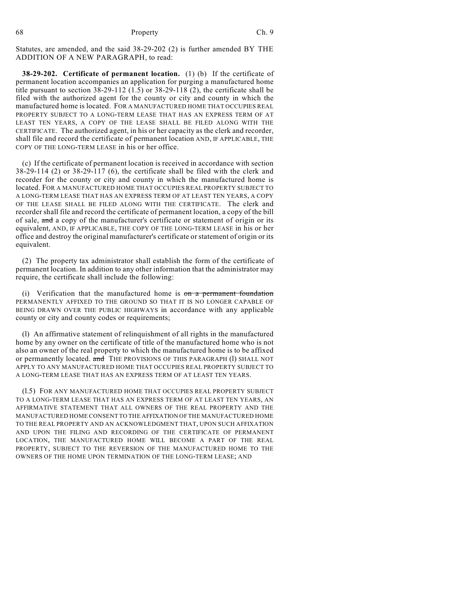Statutes, are amended, and the said 38-29-202 (2) is further amended BY THE ADDITION OF A NEW PARAGRAPH, to read:

**38-29-202. Certificate of permanent location.** (1) (b) If the certificate of permanent location accompanies an application for purging a manufactured home title pursuant to section 38-29-112 (1.5) or 38-29-118 (2), the certificate shall be filed with the authorized agent for the county or city and county in which the manufactured home is located. FOR A MANUFACTURED HOME THAT OCCUPIES REAL PROPERTY SUBJECT TO A LONG-TERM LEASE THAT HAS AN EXPRESS TERM OF AT LEAST TEN YEARS, A COPY OF THE LEASE SHALL BE FILED ALONG WITH THE CERTIFICATE. The authorized agent, in his or her capacity as the clerk and recorder, shall file and record the certificate of permanent location AND, IF APPLICABLE, THE COPY OF THE LONG-TERM LEASE in his or her office.

(c) If the certificate of permanent location is received in accordance with section 38-29-114 (2) or 38-29-117 (6), the certificate shall be filed with the clerk and recorder for the county or city and county in which the manufactured home is located. FOR A MANUFACTURED HOME THAT OCCUPIES REAL PROPERTY SUBJECT TO A LONG-TERM LEASE THAT HAS AN EXPRESS TERM OF AT LEAST TEN YEARS, A COPY OF THE LEASE SHALL BE FILED ALONG WITH THE CERTIFICATE. The clerk and recorder shall file and record the certificate of permanent location, a copy of the bill of sale, and a copy of the manufacturer's certificate or statement of origin or its equivalent, AND, IF APPLICABLE, THE COPY OF THE LONG-TERM LEASE in his or her office and destroy the original manufacturer's certificate or statement of origin or its equivalent.

(2) The property tax administrator shall establish the form of the certificate of permanent location. In addition to any other information that the administrator may require, the certificate shall include the following:

(i) Verification that the manufactured home is on a permanent foundation PERMANENTLY AFFIXED TO THE GROUND SO THAT IT IS NO LONGER CAPABLE OF BEING DRAWN OVER THE PUBLIC HIGHWAYS in accordance with any applicable county or city and county codes or requirements;

(l) An affirmative statement of relinquishment of all rights in the manufactured home by any owner on the certificate of title of the manufactured home who is not also an owner of the real property to which the manufactured home is to be affixed or permanently located. and THE PROVISIONS OF THIS PARAGRAPH (1) SHALL NOT APPLY TO ANY MANUFACTURED HOME THAT OCCUPIES REAL PROPERTY SUBJECT TO A LONG-TERM LEASE THAT HAS AN EXPRESS TERM OF AT LEAST TEN YEARS.

(l.5) FOR ANY MANUFACTURED HOME THAT OCCUPIES REAL PROPERTY SUBJECT TO A LONG-TERM LEASE THAT HAS AN EXPRESS TERM OF AT LEAST TEN YEARS, AN AFFIRMATIVE STATEMENT THAT ALL OWNERS OF THE REAL PROPERTY AND THE MANUFACTURED HOME CONSENT TO THE AFFIXATION OF THE MANUFACTURED HOME TO THE REAL PROPERTY AND AN ACKNOWLEDGMENT THAT, UPON SUCH AFFIXATION AND UPON THE FILING AND RECORDING OF THE CERTIFICATE OF PERMANENT LOCATION, THE MANUFACTURED HOME WILL BECOME A PART OF THE REAL PROPERTY, SUBJECT TO THE REVERSION OF THE MANUFACTURED HOME TO THE OWNERS OF THE HOME UPON TERMINATION OF THE LONG-TERM LEASE; AND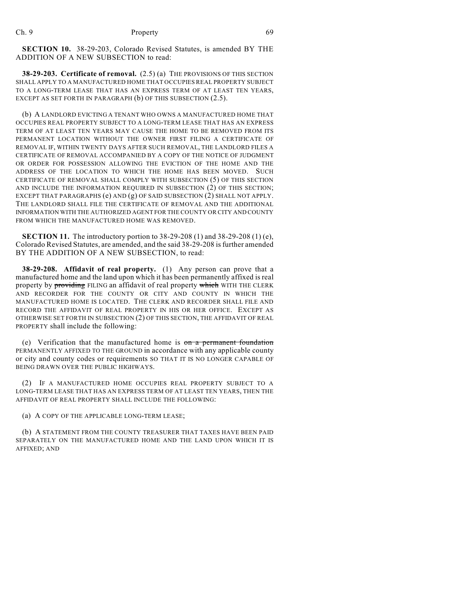**SECTION 10.** 38-29-203, Colorado Revised Statutes, is amended BY THE ADDITION OF A NEW SUBSECTION to read:

**38-29-203. Certificate of removal.** (2.5) (a) THE PROVISIONS OF THIS SECTION SHALL APPLY TO A MANUFACTURED HOME THAT OCCUPIES REAL PROPERTY SUBJECT TO A LONG-TERM LEASE THAT HAS AN EXPRESS TERM OF AT LEAST TEN YEARS, EXCEPT AS SET FORTH IN PARAGRAPH (b) OF THIS SUBSECTION (2.5).

(b) A LANDLORD EVICTING A TENANT WHO OWNS A MANUFACTURED HOME THAT OCCUPIES REAL PROPERTY SUBJECT TO A LONG-TERM LEASE THAT HAS AN EXPRESS TERM OF AT LEAST TEN YEARS MAY CAUSE THE HOME TO BE REMOVED FROM ITS PERMANENT LOCATION WITHOUT THE OWNER FIRST FILING A CERTIFICATE OF REMOVAL IF, WITHIN TWENTY DAYS AFTER SUCH REMOVAL, THE LANDLORD FILES A CERTIFICATE OF REMOVAL ACCOMPANIED BY A COPY OF THE NOTICE OF JUDGMENT OR ORDER FOR POSSESSION ALLOWING THE EVICTION OF THE HOME AND THE ADDRESS OF THE LOCATION TO WHICH THE HOME HAS BEEN MOVED. SUCH CERTIFICATE OF REMOVAL SHALL COMPLY WITH SUBSECTION (5) OF THIS SECTION AND INCLUDE THE INFORMATION REQUIRED IN SUBSECTION (2) OF THIS SECTION; EXCEPT THAT PARAGRAPHS (e) AND (g) OF SAID SUBSECTION (2) SHALL NOT APPLY. THE LANDLORD SHALL FILE THE CERTIFICATE OF REMOVAL AND THE ADDITIONAL INFORMATION WITH THE AUTHORIZED AGENT FOR THE COUNTY OR CITY AND COUNTY FROM WHICH THE MANUFACTURED HOME WAS REMOVED.

**SECTION 11.** The introductory portion to 38-29-208 (1) and 38-29-208 (1) (e), Colorado Revised Statutes, are amended, and the said 38-29-208 is further amended BY THE ADDITION OF A NEW SUBSECTION, to read:

**38-29-208. Affidavit of real property.** (1) Any person can prove that a manufactured home and the land upon which it has been permanently affixed is real property by providing FILING an affidavit of real property which WITH THE CLERK AND RECORDER FOR THE COUNTY OR CITY AND COUNTY IN WHICH THE MANUFACTURED HOME IS LOCATED. THE CLERK AND RECORDER SHALL FILE AND RECORD THE AFFIDAVIT OF REAL PROPERTY IN HIS OR HER OFFICE. EXCEPT AS OTHERWISE SET FORTH IN SUBSECTION (2) OF THIS SECTION, THE AFFIDAVIT OF REAL PROPERTY shall include the following:

(e) Verification that the manufactured home is  $\sigma$  on a permanent foundation PERMANENTLY AFFIXED TO THE GROUND in accordance with any applicable county or city and county codes or requirements SO THAT IT IS NO LONGER CAPABLE OF BEING DRAWN OVER THE PUBLIC HIGHWAYS.

(2) IF A MANUFACTURED HOME OCCUPIES REAL PROPERTY SUBJECT TO A LONG-TERM LEASE THAT HAS AN EXPRESS TERM OF AT LEAST TEN YEARS, THEN THE AFFIDAVIT OF REAL PROPERTY SHALL INCLUDE THE FOLLOWING:

(a) A COPY OF THE APPLICABLE LONG-TERM LEASE;

(b) A STATEMENT FROM THE COUNTY TREASURER THAT TAXES HAVE BEEN PAID SEPARATELY ON THE MANUFACTURED HOME AND THE LAND UPON WHICH IT IS AFFIXED; AND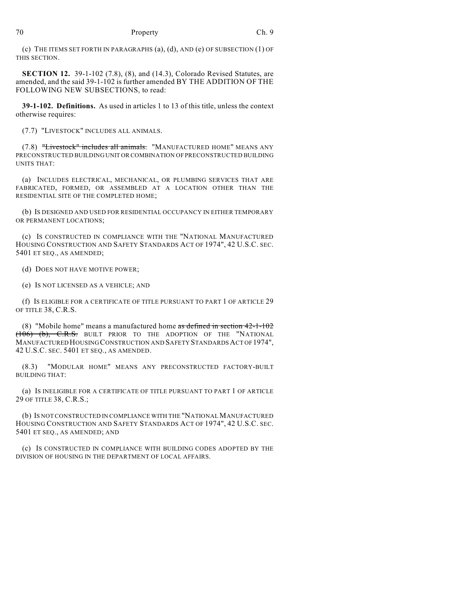(c) THE ITEMS SET FORTH IN PARAGRAPHS (a), (d), AND (e) OF SUBSECTION (1) OF THIS SECTION.

**SECTION 12.** 39-1-102 (7.8), (8), and (14.3), Colorado Revised Statutes, are amended, and the said 39-1-102 is further amended BY THE ADDITION OF THE FOLLOWING NEW SUBSECTIONS, to read:

**39-1-102. Definitions.** As used in articles 1 to 13 of this title, unless the context otherwise requires:

(7.7) "LIVESTOCK" INCLUDES ALL ANIMALS.

(7.8) "*Livestock*" includes all animals. "MANUFACTURED HOME" MEANS ANY PRECONSTRUCTED BUILDING UNIT OR COMBINATION OF PRECONSTRUCTED BUILDING UNITS THAT:

(a) INCLUDES ELECTRICAL, MECHANICAL, OR PLUMBING SERVICES THAT ARE FABRICATED, FORMED, OR ASSEMBLED AT A LOCATION OTHER THAN THE RESIDENTIAL SITE OF THE COMPLETED HOME;

(b) IS DESIGNED AND USED FOR RESIDENTIAL OCCUPANCY IN EITHER TEMPORARY OR PERMANENT LOCATIONS;

(c) IS CONSTRUCTED IN COMPLIANCE WITH THE "NATIONAL MANUFACTURED HOUSING CONSTRUCTION AND SAFETY STANDARDS ACT OF 1974", 42 U.S.C. SEC. 5401 ET SEQ., AS AMENDED;

(d) DOES NOT HAVE MOTIVE POWER;

(e) IS NOT LICENSED AS A VEHICLE; AND

(f) IS ELIGIBLE FOR A CERTIFICATE OF TITLE PURSUANT TO PART 1 OF ARTICLE 29 OF TITLE 38, C.R.S.

(8) "Mobile home" means a manufactured home as defined in section 42-1-102 (106) (b), C.R.S. BUILT PRIOR TO THE ADOPTION OF THE "NATIONAL MANUFACTURED HOUSING CONSTRUCTION AND SAFETY STANDARDS ACT OF 1974", 42 U.S.C. SEC. 5401 ET SEQ., AS AMENDED.

(8.3) "MODULAR HOME" MEANS ANY PRECONSTRUCTED FACTORY-BUILT BUILDING THAT:

(a) IS INELIGIBLE FOR A CERTIFICATE OF TITLE PURSUANT TO PART 1 OF ARTICLE 29 OF TITLE 38, C.R.S.;

(b) IS NOT CONSTRUCTED IN COMPLIANCE WITH THE "NATIONAL MANUFACTURED HOUSING CONSTRUCTION AND SAFETY STANDARDS ACT OF 1974", 42 U.S.C. SEC. 5401 ET SEQ., AS AMENDED; AND

(c) IS CONSTRUCTED IN COMPLIANCE WITH BUILDING CODES ADOPTED BY THE DIVISION OF HOUSING IN THE DEPARTMENT OF LOCAL AFFAIRS.